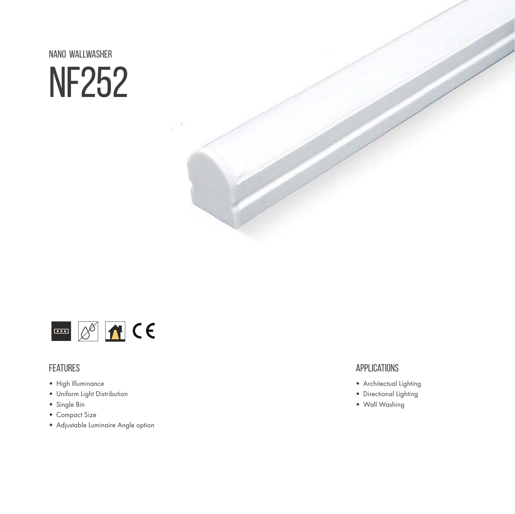NANO wallwasher NF252



#### **FEATURES**

- High Illuminance
- Uniform Light Distribution
- Single Bin
- Compact Size
- Adjustable Luminaire Angle option

#### **APPLICATIONS**

- Architectual Lighting
- Directional Lighting
- Wall Washing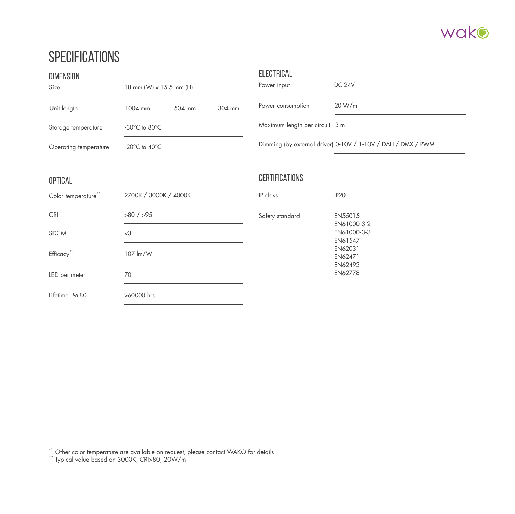

#### **SPECIFICATIONS**

| <b>DIMENSION</b><br>Size | 18 mm (W) x 15.5 mm (H)            | <b>ELECTRICAL</b><br>Power input | <b>DC 24V</b>                                                 |  |  |
|--------------------------|------------------------------------|----------------------------------|---------------------------------------------------------------|--|--|
| Unit length              | 504 mm<br>304 mm<br>1004 mm        | Power consumption                | 20 W/m                                                        |  |  |
| Storage temperature      | $-30^{\circ}$ C to 80 $^{\circ}$ C | Maximum length per circuit 3 m   |                                                               |  |  |
| Operating temperature    | $-20^{\circ}$ C to $40^{\circ}$ C  |                                  | Dimming (by external driver) 0-10V / 1-10V / DALI / DMX / PWM |  |  |
| <b>OPTICAL</b>           |                                    | <b>CERTIFICATIONS</b>            |                                                               |  |  |
| Color temperature*1      | 2700K / 3000K / 4000K              | IP class                         | IP <sub>20</sub>                                              |  |  |
| <b>CRI</b>               | $>80$ / $>95$                      | Safety standard                  | EN55015<br>EN61000-3-2<br>EN61000-3-3<br>EN61547              |  |  |
| <b>SDCM</b>              | $<$ 3                              |                                  |                                                               |  |  |
| Efficacy <sup>*2</sup>   | 107 lm/W                           |                                  | EN62031<br>EN62471                                            |  |  |
| LED per meter            | 70                                 |                                  | EN62493<br>EN62778                                            |  |  |
| Lifetime LM-80           | >60000 hrs                         |                                  |                                                               |  |  |

 $^{\star1}$  Other color temperature are available on request, please contact WAKO for details

\*2 Typical value based on 3000K, CRI>80, 20W/m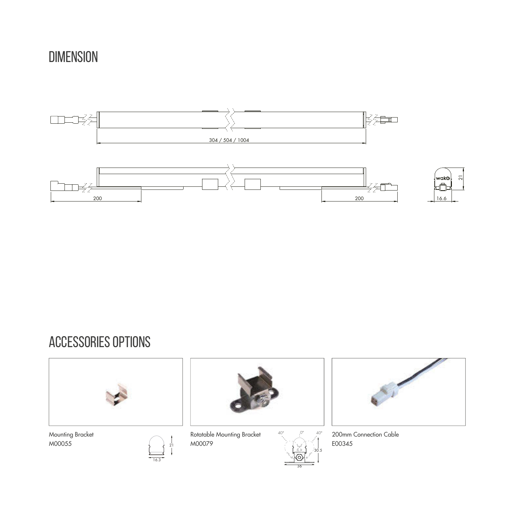### DIMENSION



### accessories options



Mounting Bracket M00055



Rotatable Mounting Bracket M00079

 $\frac{21}{1}$ 

16.3



200mm Connection Cable E00345

 $\leqslant$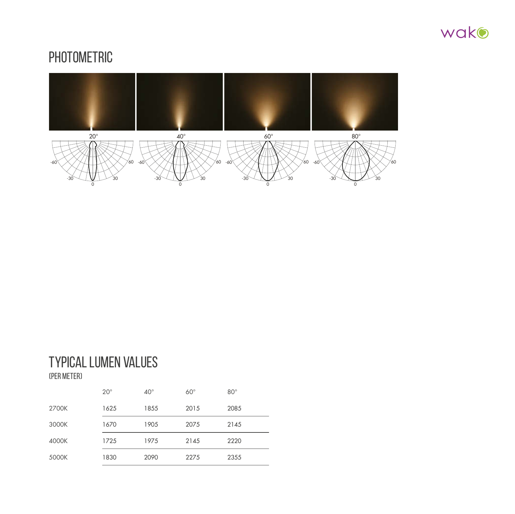

#### **PHOTOMETRIC**



## Typical lumen values

(per meter)

|       | $20^{\circ}$ | $40^{\circ}$ | $60^\circ$ | $80^\circ$ |
|-------|--------------|--------------|------------|------------|
| 2700K | 1625         | 1855         | 2015       | 2085       |
| 3000K | 1670         | 1905         | 2075       | 2145       |
| 4000K | 1725         | 1975         | 2145       | 2220       |
| 5000K | 1830         | 2090         | 2275       | 2355       |